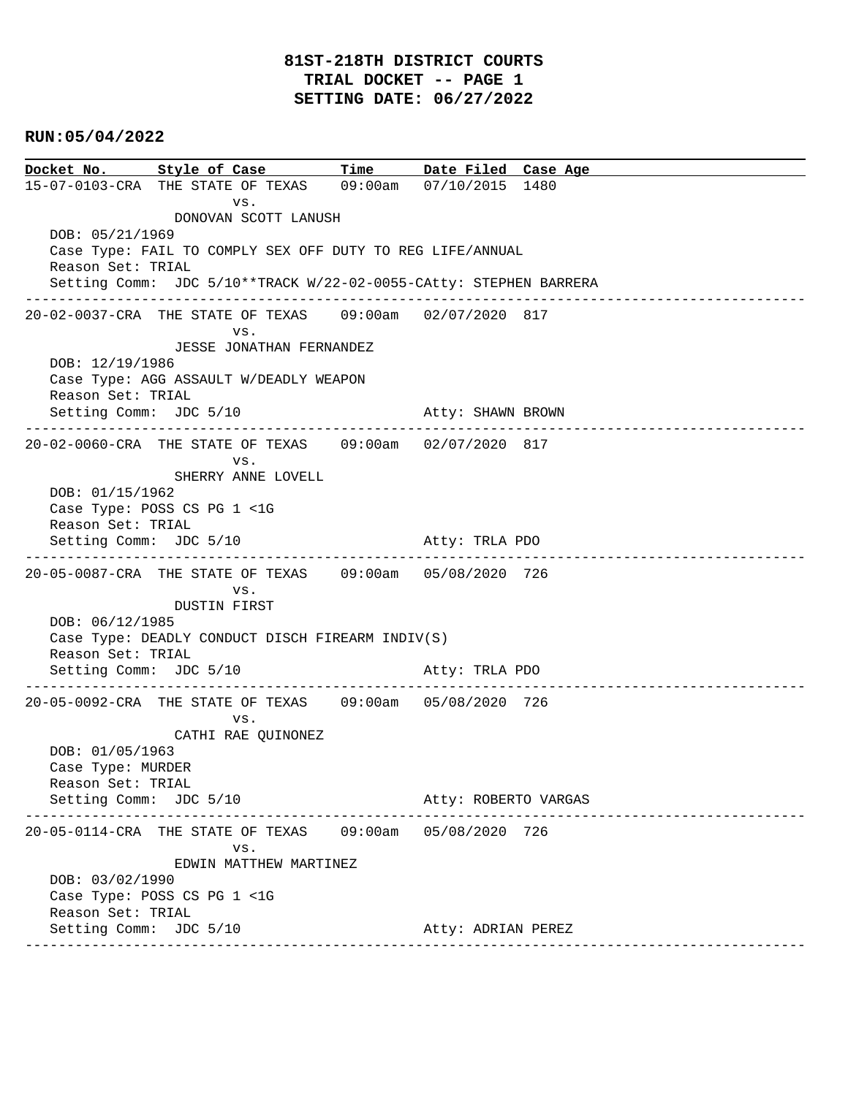### **81ST-218TH DISTRICT COURTS TRIAL DOCKET -- PAGE 1 SETTING DATE: 06/27/2022**

### **RUN:05/04/2022**

**Docket No. Style of Case Time Date Filed Case Age**  15-07-0103-CRA THE STATE OF TEXAS 09:00am 07/10/2015 1480 vs. DONOVAN SCOTT LANUSH DOB: 05/21/1969 Case Type: FAIL TO COMPLY SEX OFF DUTY TO REG LIFE/ANNUAL Reason Set: TRIAL Setting Comm: JDC 5/10\*\*TRACK W/22-02-0055-CAtty: STEPHEN BARRERA ---------------------------------------------------------------------------------------------- 20-02-0037-CRA THE STATE OF TEXAS 09:00am 02/07/2020 817 vs. JESSE JONATHAN FERNANDEZ DOB: 12/19/1986 Case Type: AGG ASSAULT W/DEADLY WEAPON Reason Set: TRIAL Setting Comm: JDC 5/10 Atty: SHAWN BROWN ---------------------------------------------------------------------------------------------- 20-02-0060-CRA THE STATE OF TEXAS 09:00am 02/07/2020 817 vs. SHERRY ANNE LOVELL DOB: 01/15/1962 Case Type: POSS CS PG 1 <1G Reason Set: TRIAL Setting Comm: JDC 5/10 Atty: TRLA PDO ---------------------------------------------------------------------------------------------- 20-05-0087-CRA THE STATE OF TEXAS 09:00am 05/08/2020 726 vs. DUSTIN FIRST DOB: 06/12/1985 Case Type: DEADLY CONDUCT DISCH FIREARM INDIV(S) Reason Set: TRIAL Setting Comm: JDC 5/10 Atty: TRLA PDO ---------------------------------------------------------------------------------------------- 20-05-0092-CRA THE STATE OF TEXAS 09:00am 05/08/2020 726 vs. CATHI RAE QUINONEZ DOB: 01/05/1963 Case Type: MURDER Reason Set: TRIAL Setting Comm: JDC 5/10 Atty: ROBERTO VARGAS ---------------------------------------------------------------------------------------------- 20-05-0114-CRA THE STATE OF TEXAS 09:00am 05/08/2020 726 vs. EDWIN MATTHEW MARTINEZ DOB: 03/02/1990 Case Type: POSS CS PG 1 <1G Reason Set: TRIAL Setting Comm: JDC 5/10 Atty: ADRIAN PEREZ ----------------------------------------------------------------------------------------------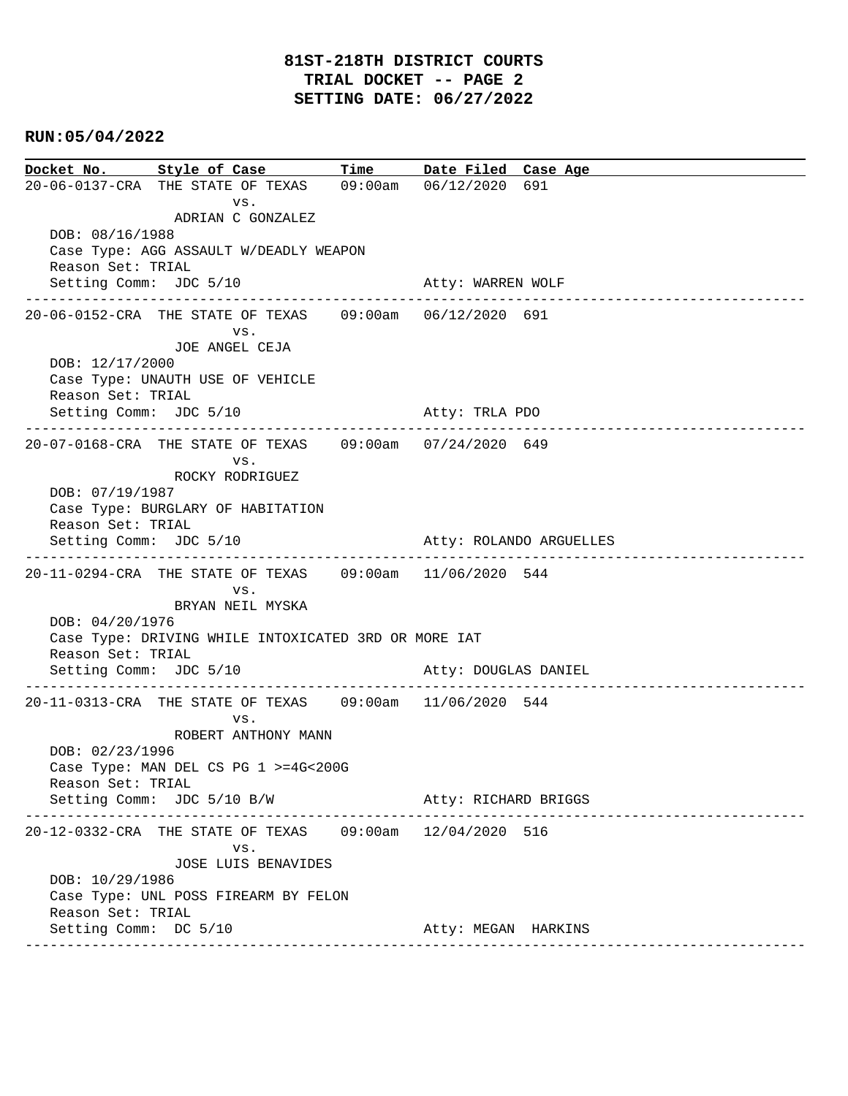**Docket No. Style of Case Time Date Filed Case Age**  20-06-0137-CRA THE STATE OF TEXAS 09:00am 06/12/2020 691 vs. ADRIAN C GONZALEZ DOB: 08/16/1988 Case Type: AGG ASSAULT W/DEADLY WEAPON Reason Set: TRIAL Setting Comm: JDC 5/10 Atty: WARREN WOLF ---------------------------------------------------------------------------------------------- 20-06-0152-CRA THE STATE OF TEXAS 09:00am 06/12/2020 691 vs. JOE ANGEL CEJA DOB: 12/17/2000 Case Type: UNAUTH USE OF VEHICLE Reason Set: TRIAL Setting Comm: JDC 5/10 Atty: TRLA PDO ---------------------------------------------------------------------------------------------- 20-07-0168-CRA THE STATE OF TEXAS 09:00am 07/24/2020 649 vs. ROCKY RODRIGUEZ DOB: 07/19/1987 Case Type: BURGLARY OF HABITATION Reason Set: TRIAL Setting Comm: JDC 5/10 Atty: ROLANDO ARGUELLES ---------------------------------------------------------------------------------------------- 20-11-0294-CRA THE STATE OF TEXAS 09:00am 11/06/2020 544 vs. BRYAN NEIL MYSKA DOB: 04/20/1976 Case Type: DRIVING WHILE INTOXICATED 3RD OR MORE IAT Reason Set: TRIAL Setting Comm: JDC 5/10 Atty: DOUGLAS DANIEL ---------------------------------------------------------------------------------------------- 20-11-0313-CRA THE STATE OF TEXAS 09:00am 11/06/2020 544 vs. ROBERT ANTHONY MANN DOB: 02/23/1996 Case Type: MAN DEL CS PG 1 >=4G<200G Reason Set: TRIAL Setting Comm: JDC 5/10 B/W Atty: RICHARD BRIGGS ---------------------------------------------------------------------------------------------- 20-12-0332-CRA THE STATE OF TEXAS 09:00am 12/04/2020 516 vs. JOSE LUIS BENAVIDES DOB: 10/29/1986 Case Type: UNL POSS FIREARM BY FELON Reason Set: TRIAL Setting Comm: DC 5/10 Atty: MEGAN HARKINS ----------------------------------------------------------------------------------------------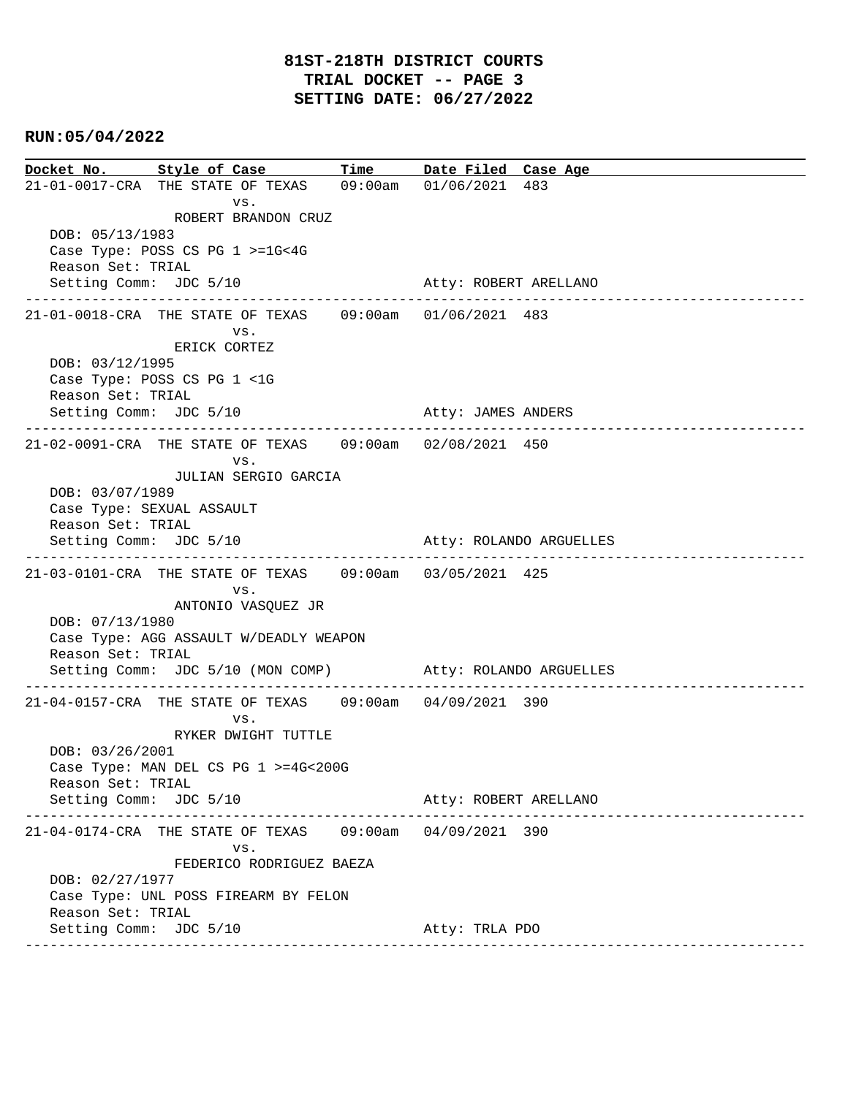**Docket No. Style of Case Time Date Filed Case Age**  21-01-0017-CRA THE STATE OF TEXAS 09:00am 01/06/2021 483 vs. ROBERT BRANDON CRUZ DOB: 05/13/1983 Case Type: POSS CS PG 1 >=1G<4G Reason Set: TRIAL Setting Comm: JDC 5/10 Atty: ROBERT ARELLANO ---------------------------------------------------------------------------------------------- 21-01-0018-CRA THE STATE OF TEXAS 09:00am 01/06/2021 483 vs. ERICK CORTEZ DOB: 03/12/1995 Case Type: POSS CS PG 1 <1G Reason Set: TRIAL Setting Comm: JDC 5/10 Atty: JAMES ANDERS ---------------------------------------------------------------------------------------------- 21-02-0091-CRA THE STATE OF TEXAS 09:00am 02/08/2021 450 vs. JULIAN SERGIO GARCIA DOB: 03/07/1989 Case Type: SEXUAL ASSAULT Reason Set: TRIAL Setting Comm: JDC 5/10 Atty: ROLANDO ARGUELLES ---------------------------------------------------------------------------------------------- 21-03-0101-CRA THE STATE OF TEXAS 09:00am 03/05/2021 425 vs. ANTONIO VASQUEZ JR DOB: 07/13/1980 Case Type: AGG ASSAULT W/DEADLY WEAPON Reason Set: TRIAL Setting Comm: JDC 5/10 (MON COMP) Atty: ROLANDO ARGUELLES ---------------------------------------------------------------------------------------------- 21-04-0157-CRA THE STATE OF TEXAS 09:00am 04/09/2021 390 vs. RYKER DWIGHT TUTTLE DOB: 03/26/2001 Case Type: MAN DEL CS PG 1 >=4G<200G Reason Set: TRIAL Setting Comm: JDC 5/10 Atty: ROBERT ARELLANO ---------------------------------------------------------------------------------------------- 21-04-0174-CRA THE STATE OF TEXAS 09:00am 04/09/2021 390 vs. FEDERICO RODRIGUEZ BAEZA DOB: 02/27/1977 Case Type: UNL POSS FIREARM BY FELON Reason Set: TRIAL Setting Comm: JDC 5/10 Atty: TRLA PDO ----------------------------------------------------------------------------------------------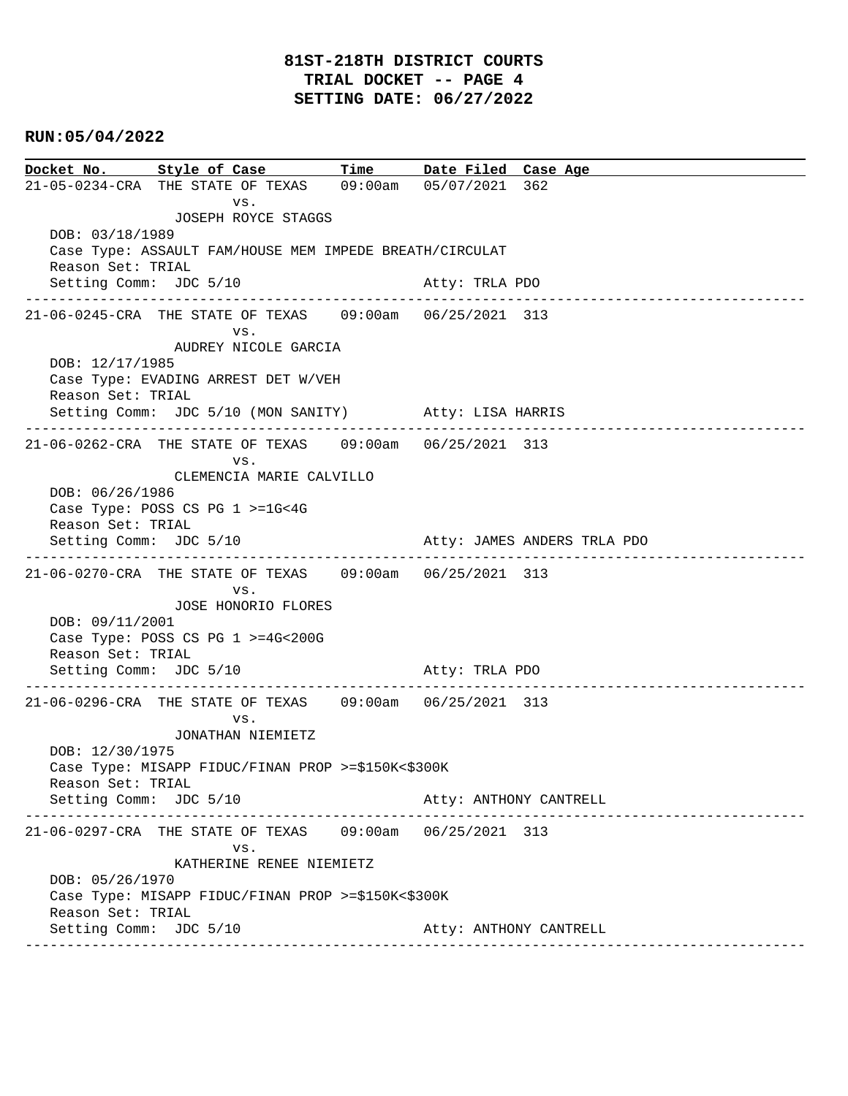### **81ST-218TH DISTRICT COURTS TRIAL DOCKET -- PAGE 4 SETTING DATE: 06/27/2022**

### **RUN:05/04/2022**

**Docket No. Style of Case Time Date Filed Case Age**  21-05-0234-CRA THE STATE OF TEXAS 09:00am 05/07/2021 362 vs. JOSEPH ROYCE STAGGS DOB: 03/18/1989 Case Type: ASSAULT FAM/HOUSE MEM IMPEDE BREATH/CIRCULAT Reason Set: TRIAL Setting Comm: JDC 5/10 Atty: TRLA PDO ---------------------------------------------------------------------------------------------- 21-06-0245-CRA THE STATE OF TEXAS 09:00am 06/25/2021 313 vs. AUDREY NICOLE GARCIA DOB: 12/17/1985 Case Type: EVADING ARREST DET W/VEH Reason Set: TRIAL Setting Comm: JDC 5/10 (MON SANITY) Atty: LISA HARRIS ---------------------------------------------------------------------------------------------- 21-06-0262-CRA THE STATE OF TEXAS 09:00am 06/25/2021 313 vs. CLEMENCIA MARIE CALVILLO DOB: 06/26/1986 Case Type: POSS CS PG 1 >=1G<4G Reason Set: TRIAL Setting Comm: JDC 5/10 Atty: JAMES ANDERS TRLA PDO ---------------------------------------------------------------------------------------------- 21-06-0270-CRA THE STATE OF TEXAS 09:00am 06/25/2021 313 vs. JOSE HONORIO FLORES DOB: 09/11/2001 Case Type: POSS CS PG 1 >=4G<200G Reason Set: TRIAL Setting Comm: JDC 5/10 Atty: TRLA PDO ---------------------------------------------------------------------------------------------- 21-06-0296-CRA THE STATE OF TEXAS 09:00am 06/25/2021 313 vs. JONATHAN NIEMIETZ DOB: 12/30/1975 Case Type: MISAPP FIDUC/FINAN PROP >=\$150K<\$300K Reason Set: TRIAL Setting Comm: JDC 5/10 Atty: ANTHONY CANTRELL ---------------------------------------------------------------------------------------------- 21-06-0297-CRA THE STATE OF TEXAS 09:00am 06/25/2021 313 vs. KATHERINE RENEE NIEMIETZ DOB: 05/26/1970 Case Type: MISAPP FIDUC/FINAN PROP >=\$150K<\$300K Reason Set: TRIAL Setting Comm: JDC 5/10 Atty: ANTHONY CANTRELL ----------------------------------------------------------------------------------------------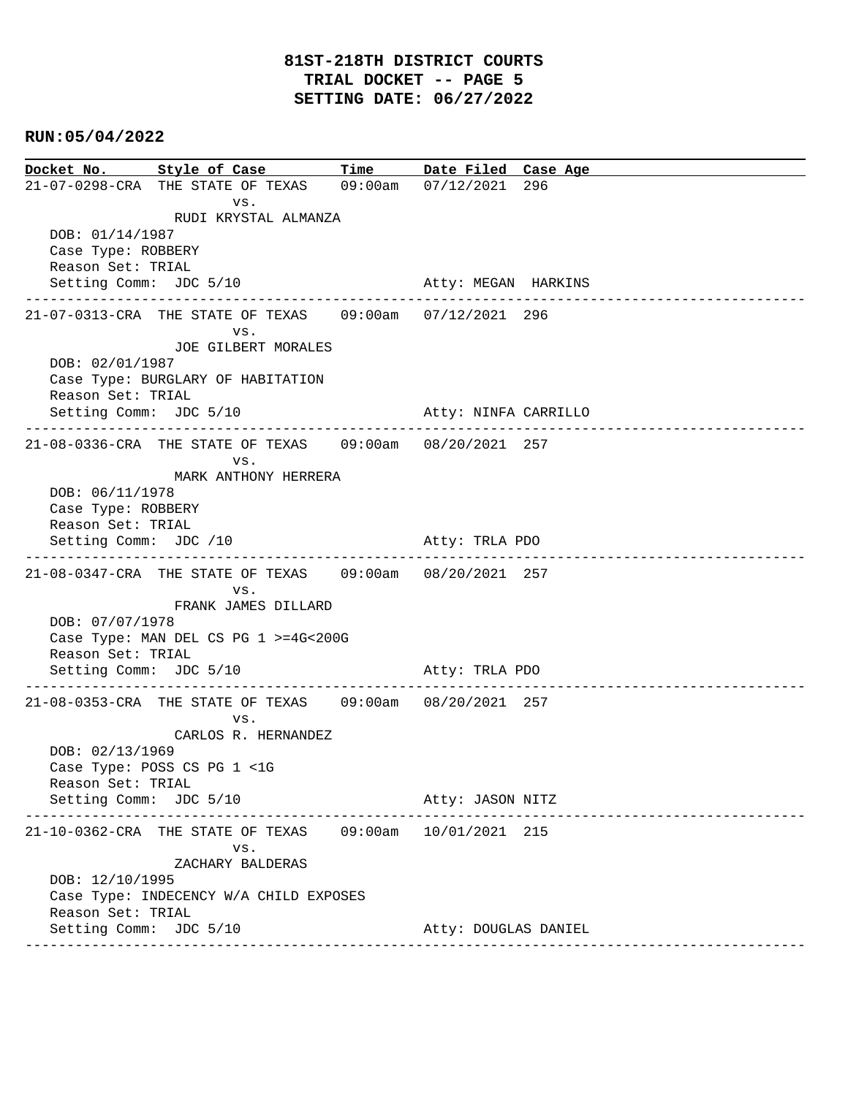**Docket No. Style of Case Time Date Filed Case Age**  21-07-0298-CRA THE STATE OF TEXAS 09:00am 07/12/2021 296 vs. RUDI KRYSTAL ALMANZA DOB: 01/14/1987 Case Type: ROBBERY Reason Set: TRIAL Setting Comm: JDC 5/10 Atty: MEGAN HARKINS ---------------------------------------------------------------------------------------------- 21-07-0313-CRA THE STATE OF TEXAS 09:00am 07/12/2021 296 vs. JOE GILBERT MORALES DOB: 02/01/1987 Case Type: BURGLARY OF HABITATION Reason Set: TRIAL Setting Comm: JDC 5/10 Atty: NINFA CARRILLO ---------------------------------------------------------------------------------------------- 21-08-0336-CRA THE STATE OF TEXAS 09:00am 08/20/2021 257 vs. MARK ANTHONY HERRERA DOB: 06/11/1978 Case Type: ROBBERY Reason Set: TRIAL Setting Comm: JDC /10 Atty: TRLA PDO ---------------------------------------------------------------------------------------------- 21-08-0347-CRA THE STATE OF TEXAS 09:00am 08/20/2021 257 vs. FRANK JAMES DILLARD DOB: 07/07/1978 Case Type: MAN DEL CS PG 1 >=4G<200G Reason Set: TRIAL Setting Comm: JDC 5/10 Atty: TRLA PDO ---------------------------------------------------------------------------------------------- 21-08-0353-CRA THE STATE OF TEXAS 09:00am 08/20/2021 257 vs. CARLOS R. HERNANDEZ DOB: 02/13/1969 Case Type: POSS CS PG 1 <1G Reason Set: TRIAL Setting Comm: JDC 5/10 Atty: JASON NITZ ---------------------------------------------------------------------------------------------- 21-10-0362-CRA THE STATE OF TEXAS 09:00am 10/01/2021 215 vs. ZACHARY BALDERAS DOB: 12/10/1995 Case Type: INDECENCY W/A CHILD EXPOSES Reason Set: TRIAL Setting Comm: JDC 5/10 Atty: DOUGLAS DANIEL ----------------------------------------------------------------------------------------------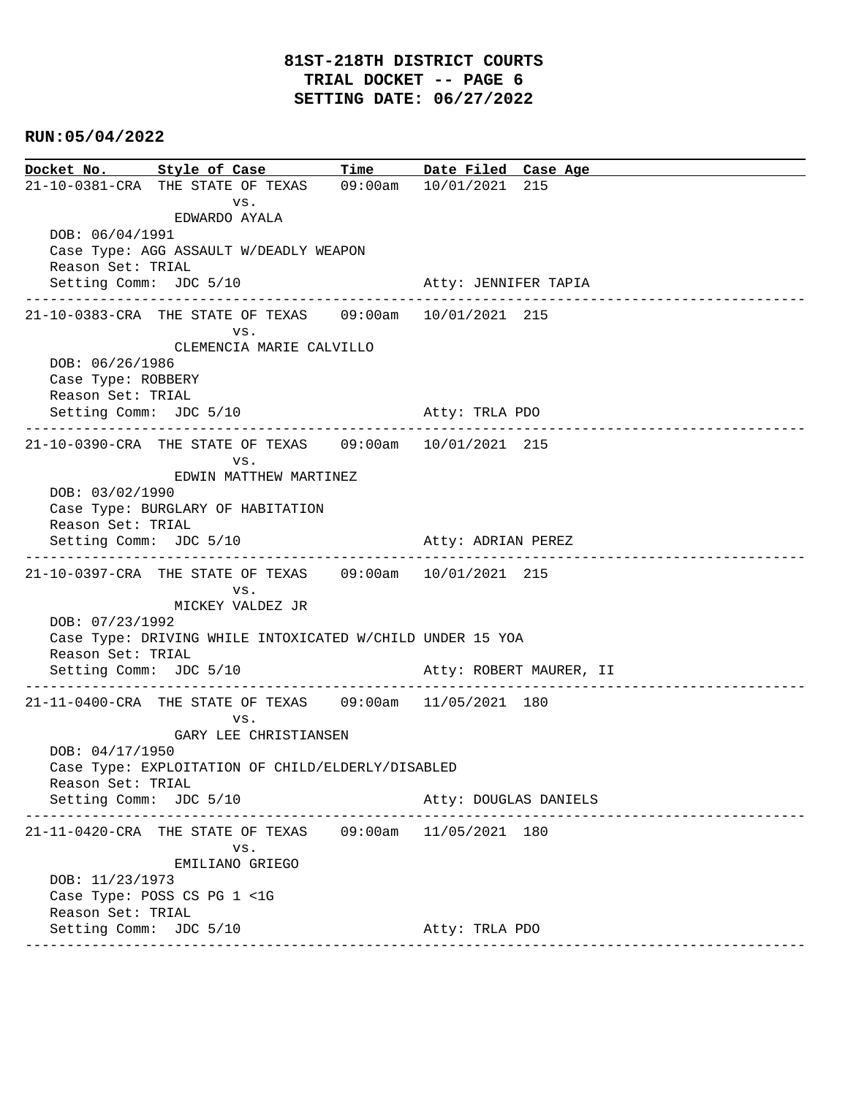**Docket No. Style of Case Time Date Filed Case Age**  21-10-0381-CRA THE STATE OF TEXAS 09:00am 10/01/2021 215 vs. EDWARDO AYALA DOB: 06/04/1991 Case Type: AGG ASSAULT W/DEADLY WEAPON Reason Set: TRIAL Setting Comm: JDC 5/10 Atty: JENNIFER TAPIA ---------------------------------------------------------------------------------------------- 21-10-0383-CRA THE STATE OF TEXAS 09:00am 10/01/2021 215 vs. CLEMENCIA MARIE CALVILLO DOB: 06/26/1986 Case Type: ROBBERY Reason Set: TRIAL Setting Comm: JDC 5/10 Atty: TRLA PDO ---------------------------------------------------------------------------------------------- 21-10-0390-CRA THE STATE OF TEXAS 09:00am 10/01/2021 215 vs. EDWIN MATTHEW MARTINEZ DOB: 03/02/1990 Case Type: BURGLARY OF HABITATION Reason Set: TRIAL Setting Comm: JDC 5/10 Atty: ADRIAN PEREZ ---------------------------------------------------------------------------------------------- 21-10-0397-CRA THE STATE OF TEXAS 09:00am 10/01/2021 215 vs. MICKEY VALDEZ JR DOB: 07/23/1992 Case Type: DRIVING WHILE INTOXICATED W/CHILD UNDER 15 YOA Reason Set: TRIAL Setting Comm: JDC 5/10 Atty: ROBERT MAURER, II ---------------------------------------------------------------------------------------------- 21-11-0400-CRA THE STATE OF TEXAS 09:00am 11/05/2021 180 vs. GARY LEE CHRISTIANSEN DOB: 04/17/1950 Case Type: EXPLOITATION OF CHILD/ELDERLY/DISABLED Reason Set: TRIAL Setting Comm: JDC 5/10 Atty: DOUGLAS DANIELS ---------------------------------------------------------------------------------------------- 21-11-0420-CRA THE STATE OF TEXAS 09:00am 11/05/2021 180 vs. EMILIANO GRIEGO DOB: 11/23/1973 Case Type: POSS CS PG 1 <1G Reason Set: TRIAL Setting Comm: JDC 5/10 Atty: TRLA PDO ----------------------------------------------------------------------------------------------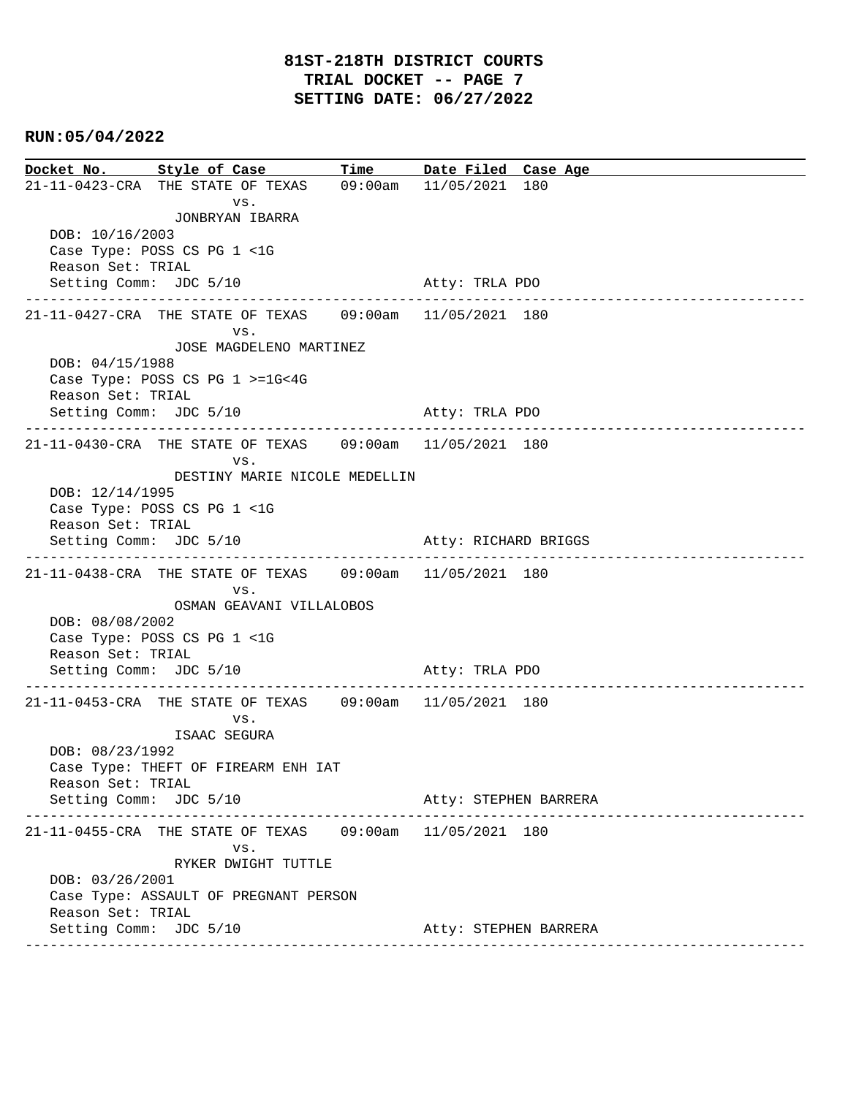| Docket No. Style of Case                    |                                                          |  | Time Date Filed Case Age |
|---------------------------------------------|----------------------------------------------------------|--|--------------------------|
|                                             | 21-11-0423-CRA THE STATE OF TEXAS 09:00am 11/05/2021 180 |  |                          |
|                                             | VS.                                                      |  |                          |
| DOB: 10/16/2003                             | JONBRYAN IBARRA                                          |  |                          |
|                                             | Case Type: POSS CS PG 1 <1G                              |  |                          |
| Reason Set: TRIAL                           |                                                          |  |                          |
| Setting Comm: JDC 5/10                      |                                                          |  | Atty: TRLA PDO           |
|                                             | 21-11-0427-CRA THE STATE OF TEXAS 09:00am 11/05/2021 180 |  |                          |
|                                             | VS.                                                      |  |                          |
|                                             | JOSE MAGDELENO MARTINEZ                                  |  |                          |
| DOB: 04/15/1988                             |                                                          |  |                          |
|                                             | Case Type: POSS CS PG 1 >=1G<4G                          |  |                          |
| Reason Set: TRIAL                           |                                                          |  |                          |
| Setting Comm: JDC 5/10                      |                                                          |  | Atty: TRLA PDO           |
|                                             | 21-11-0430-CRA THE STATE OF TEXAS 09:00am 11/05/2021 180 |  |                          |
|                                             | VS.                                                      |  |                          |
| DOB: 12/14/1995                             | DESTINY MARIE NICOLE MEDELLIN                            |  |                          |
|                                             | Case Type: POSS CS PG 1 <1G                              |  |                          |
| Reason Set: TRIAL                           |                                                          |  |                          |
| Setting Comm: JDC 5/10                      |                                                          |  | Atty: RICHARD BRIGGS     |
|                                             | 21-11-0438-CRA THE STATE OF TEXAS 09:00am 11/05/2021 180 |  |                          |
|                                             | VS.                                                      |  |                          |
|                                             | OSMAN GEAVANI VILLALOBOS                                 |  |                          |
| DOB: 08/08/2002                             |                                                          |  |                          |
|                                             | Case Type: POSS CS PG 1 <1G                              |  |                          |
| Reason Set: TRIAL<br>Setting Comm: JDC 5/10 |                                                          |  | Atty: TRLA PDO           |
|                                             |                                                          |  |                          |
|                                             | 21-11-0453-CRA THE STATE OF TEXAS 09:00am 11/05/2021 180 |  |                          |
|                                             | VS.                                                      |  |                          |
| DOB: 08/23/1992                             | ISAAC SEGURA                                             |  |                          |
|                                             | Case Type: THEFT OF FIREARM ENH IAT                      |  |                          |
| Reason Set: TRIAL                           |                                                          |  |                          |
| Setting Comm: JDC 5/10                      |                                                          |  | Atty: STEPHEN BARRERA    |
|                                             | 21-11-0455-CRA THE STATE OF TEXAS 09:00am 11/05/2021 180 |  |                          |
|                                             | VS.                                                      |  |                          |
|                                             | RYKER DWIGHT TUTTLE                                      |  |                          |
| DOB: 03/26/2001                             |                                                          |  |                          |
|                                             | Case Type: ASSAULT OF PREGNANT PERSON                    |  |                          |
| Reason Set: TRIAL<br>Setting Comm: JDC 5/10 |                                                          |  | Atty: STEPHEN BARRERA    |
|                                             |                                                          |  |                          |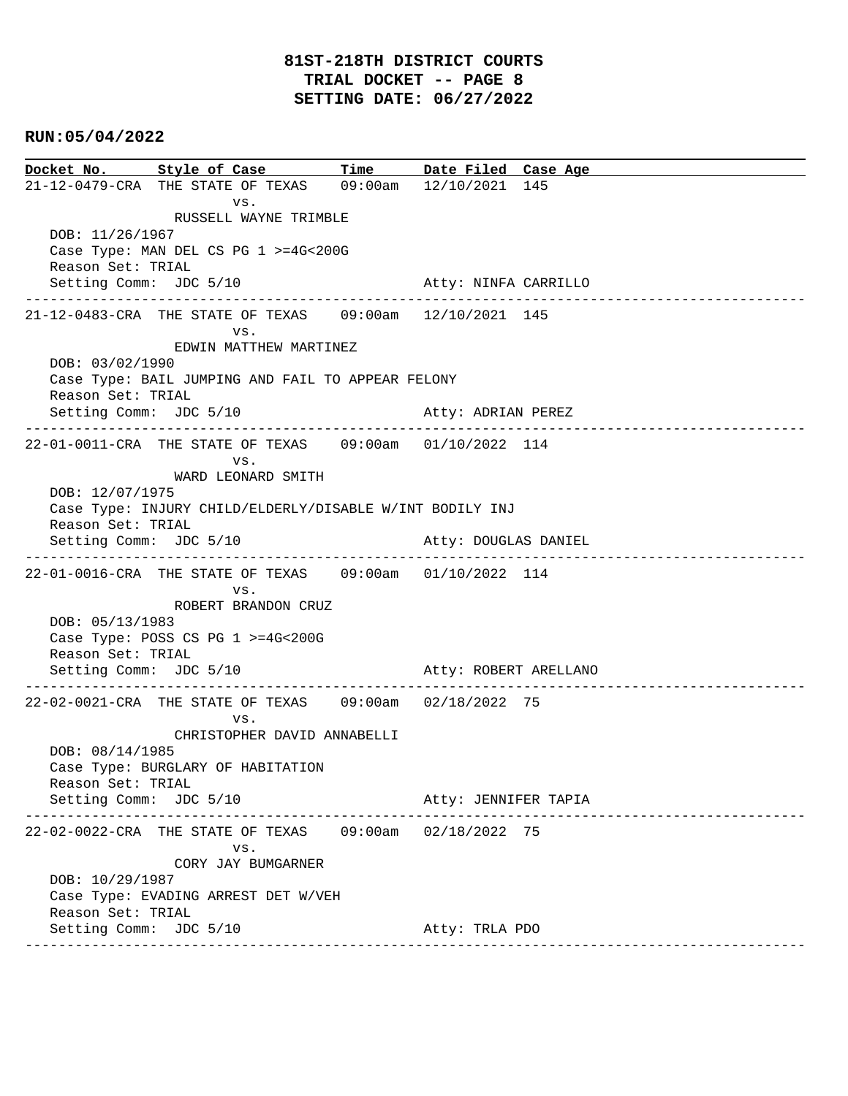**Docket No. Style of Case Time Date Filed Case Age**  21-12-0479-CRA THE STATE OF TEXAS 09:00am 12/10/2021 145 vs. RUSSELL WAYNE TRIMBLE DOB: 11/26/1967 Case Type: MAN DEL CS PG 1 >=4G<200G Reason Set: TRIAL Setting Comm: JDC 5/10 Atty: NINFA CARRILLO ---------------------------------------------------------------------------------------------- 21-12-0483-CRA THE STATE OF TEXAS 09:00am 12/10/2021 145 vs. EDWIN MATTHEW MARTINEZ DOB: 03/02/1990 Case Type: BAIL JUMPING AND FAIL TO APPEAR FELONY Reason Set: TRIAL Setting Comm: JDC 5/10 Atty: ADRIAN PEREZ ---------------------------------------------------------------------------------------------- 22-01-0011-CRA THE STATE OF TEXAS 09:00am 01/10/2022 114 vs. WARD LEONARD SMITH DOB: 12/07/1975 Case Type: INJURY CHILD/ELDERLY/DISABLE W/INT BODILY INJ Reason Set: TRIAL Setting Comm: JDC 5/10 Atty: DOUGLAS DANIEL ---------------------------------------------------------------------------------------------- 22-01-0016-CRA THE STATE OF TEXAS 09:00am 01/10/2022 114 vs. ROBERT BRANDON CRUZ DOB: 05/13/1983 Case Type: POSS CS PG 1 >=4G<200G Reason Set: TRIAL Setting Comm: JDC 5/10 Atty: ROBERT ARELLANO ---------------------------------------------------------------------------------------------- 22-02-0021-CRA THE STATE OF TEXAS 09:00am 02/18/2022 75 vs. CHRISTOPHER DAVID ANNABELLI DOB: 08/14/1985 Case Type: BURGLARY OF HABITATION Reason Set: TRIAL Setting Comm: JDC 5/10 Atty: JENNIFER TAPIA ---------------------------------------------------------------------------------------------- 22-02-0022-CRA THE STATE OF TEXAS 09:00am 02/18/2022 75 vs. CORY JAY BUMGARNER DOB: 10/29/1987 Case Type: EVADING ARREST DET W/VEH Reason Set: TRIAL Setting Comm: JDC 5/10 Atty: TRLA PDO ----------------------------------------------------------------------------------------------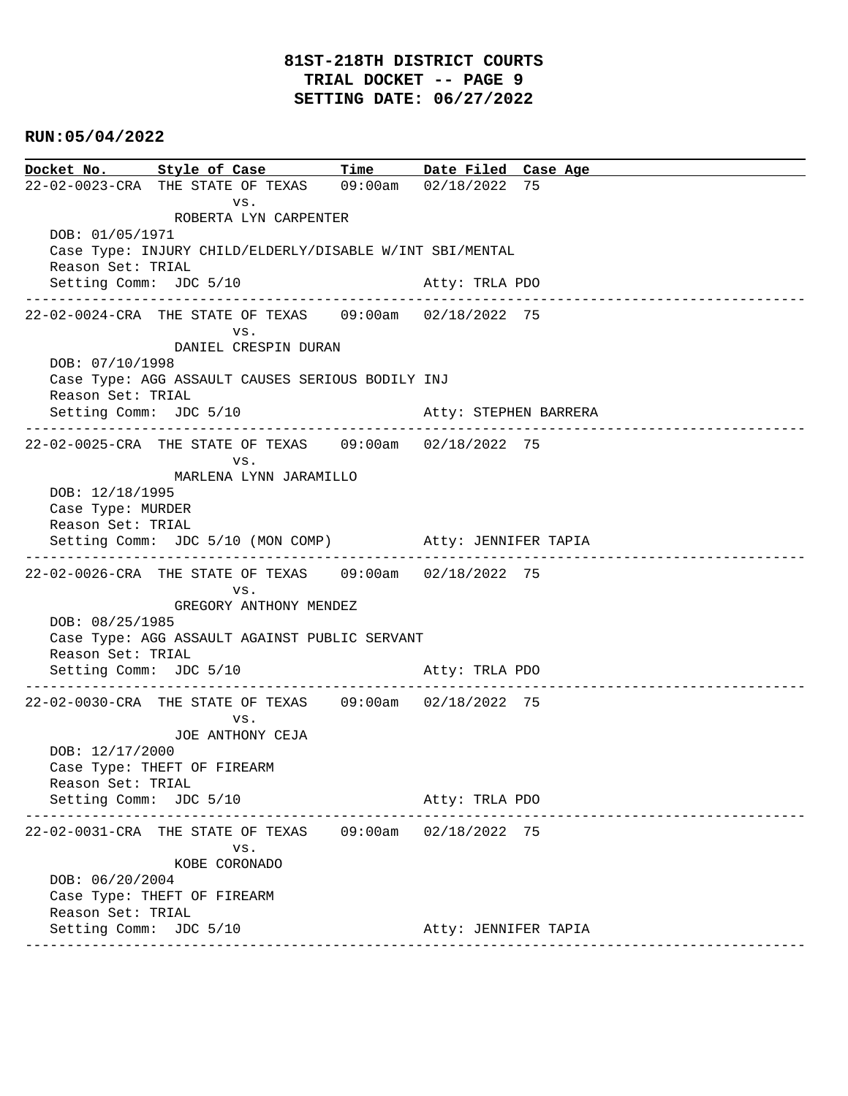### **81ST-218TH DISTRICT COURTS TRIAL DOCKET -- PAGE 9 SETTING DATE: 06/27/2022**

### **RUN:05/04/2022**

**Docket No. Style of Case Time Date Filed Case Age**  22-02-0023-CRA THE STATE OF TEXAS 09:00am 02/18/2022 75 vs. ROBERTA LYN CARPENTER DOB: 01/05/1971 Case Type: INJURY CHILD/ELDERLY/DISABLE W/INT SBI/MENTAL Reason Set: TRIAL Setting Comm: JDC 5/10 Atty: TRLA PDO ---------------------------------------------------------------------------------------------- 22-02-0024-CRA THE STATE OF TEXAS 09:00am 02/18/2022 75 vs. DANIEL CRESPIN DURAN DOB: 07/10/1998 Case Type: AGG ASSAULT CAUSES SERIOUS BODILY INJ Reason Set: TRIAL Setting Comm: JDC 5/10 Atty: STEPHEN BARRERA ---------------------------------------------------------------------------------------------- 22-02-0025-CRA THE STATE OF TEXAS 09:00am 02/18/2022 75 vs. MARLENA LYNN JARAMILLO DOB: 12/18/1995 Case Type: MURDER Reason Set: TRIAL Setting Comm: JDC 5/10 (MON COMP) Atty: JENNIFER TAPIA ---------------------------------------------------------------------------------------------- 22-02-0026-CRA THE STATE OF TEXAS 09:00am 02/18/2022 75 vs. GREGORY ANTHONY MENDEZ DOB: 08/25/1985 Case Type: AGG ASSAULT AGAINST PUBLIC SERVANT Reason Set: TRIAL Setting Comm: JDC 5/10 Atty: TRLA PDO ---------------------------------------------------------------------------------------------- 22-02-0030-CRA THE STATE OF TEXAS 09:00am 02/18/2022 75 vs. JOE ANTHONY CEJA DOB: 12/17/2000 Case Type: THEFT OF FIREARM Reason Set: TRIAL Setting Comm: JDC 5/10 Atty: TRLA PDO ---------------------------------------------------------------------------------------------- 22-02-0031-CRA THE STATE OF TEXAS 09:00am 02/18/2022 75 vs. KOBE CORONADO DOB: 06/20/2004 Case Type: THEFT OF FIREARM Reason Set: TRIAL Setting Comm: JDC 5/10 Atty: JENNIFER TAPIA ----------------------------------------------------------------------------------------------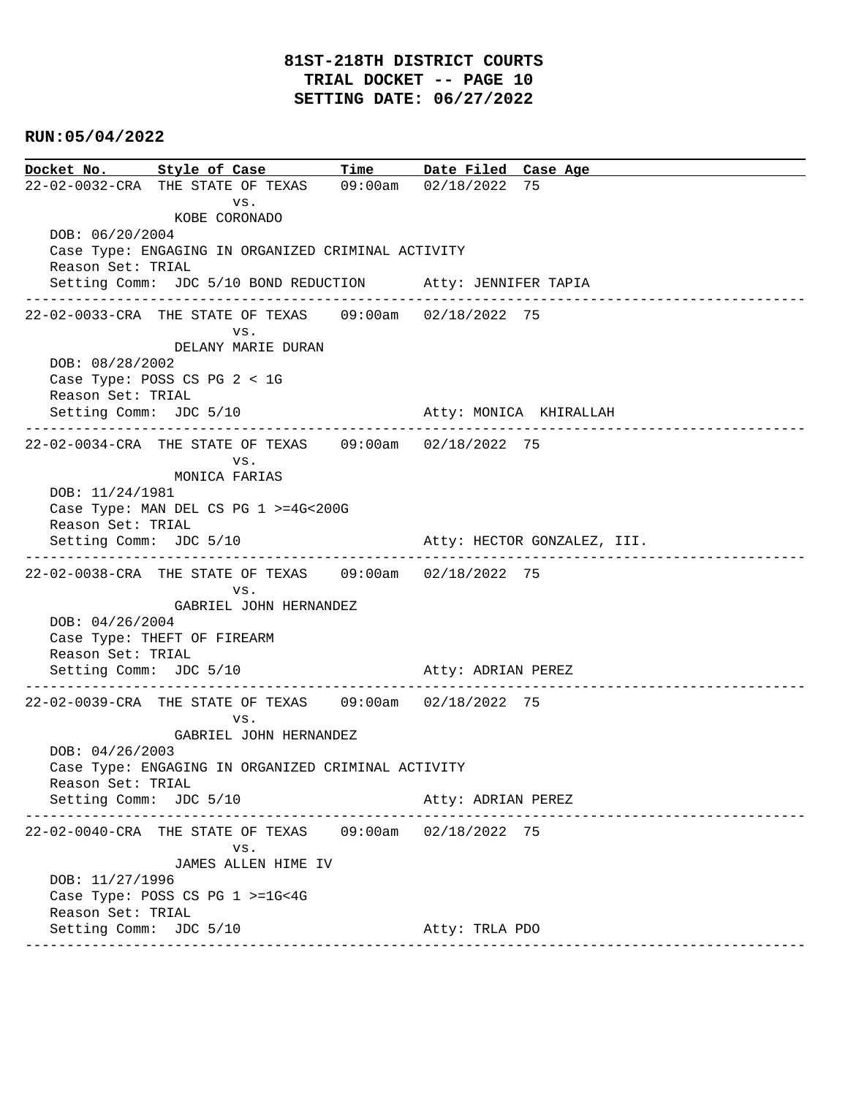**Docket No. Style of Case Time Date Filed Case Age**  22-02-0032-CRA THE STATE OF TEXAS 09:00am 02/18/2022 75 vs. KOBE CORONADO DOB: 06/20/2004 Case Type: ENGAGING IN ORGANIZED CRIMINAL ACTIVITY Reason Set: TRIAL Setting Comm: JDC 5/10 BOND REDUCTION Atty: JENNIFER TAPIA ---------------------------------------------------------------------------------------------- 22-02-0033-CRA THE STATE OF TEXAS 09:00am 02/18/2022 75 vs. DELANY MARIE DURAN DOB: 08/28/2002 Case Type: POSS CS PG 2 < 1G Reason Set: TRIAL Setting Comm: JDC 5/10 Atty: MONICA KHIRALLAH ---------------------------------------------------------------------------------------------- 22-02-0034-CRA THE STATE OF TEXAS 09:00am 02/18/2022 75 vs. MONICA FARIAS DOB: 11/24/1981 Case Type: MAN DEL CS PG 1 >=4G<200G Reason Set: TRIAL Setting Comm: JDC 5/10  $\qquad \qquad$  Atty: HECTOR GONZALEZ, III. ---------------------------------------------------------------------------------------------- 22-02-0038-CRA THE STATE OF TEXAS 09:00am 02/18/2022 75 vs. GABRIEL JOHN HERNANDEZ DOB: 04/26/2004 Case Type: THEFT OF FIREARM Reason Set: TRIAL Setting Comm: JDC 5/10 Atty: ADRIAN PEREZ ---------------------------------------------------------------------------------------------- 22-02-0039-CRA THE STATE OF TEXAS 09:00am 02/18/2022 75 vs. GABRIEL JOHN HERNANDEZ DOB: 04/26/2003 Case Type: ENGAGING IN ORGANIZED CRIMINAL ACTIVITY Reason Set: TRIAL Setting Comm: JDC 5/10 Atty: ADRIAN PEREZ ---------------------------------------------------------------------------------------------- 22-02-0040-CRA THE STATE OF TEXAS 09:00am 02/18/2022 75 vs. JAMES ALLEN HIME IV DOB: 11/27/1996 Case Type: POSS CS PG 1 >=1G<4G Reason Set: TRIAL Setting Comm: JDC 5/10 Atty: TRLA PDO ----------------------------------------------------------------------------------------------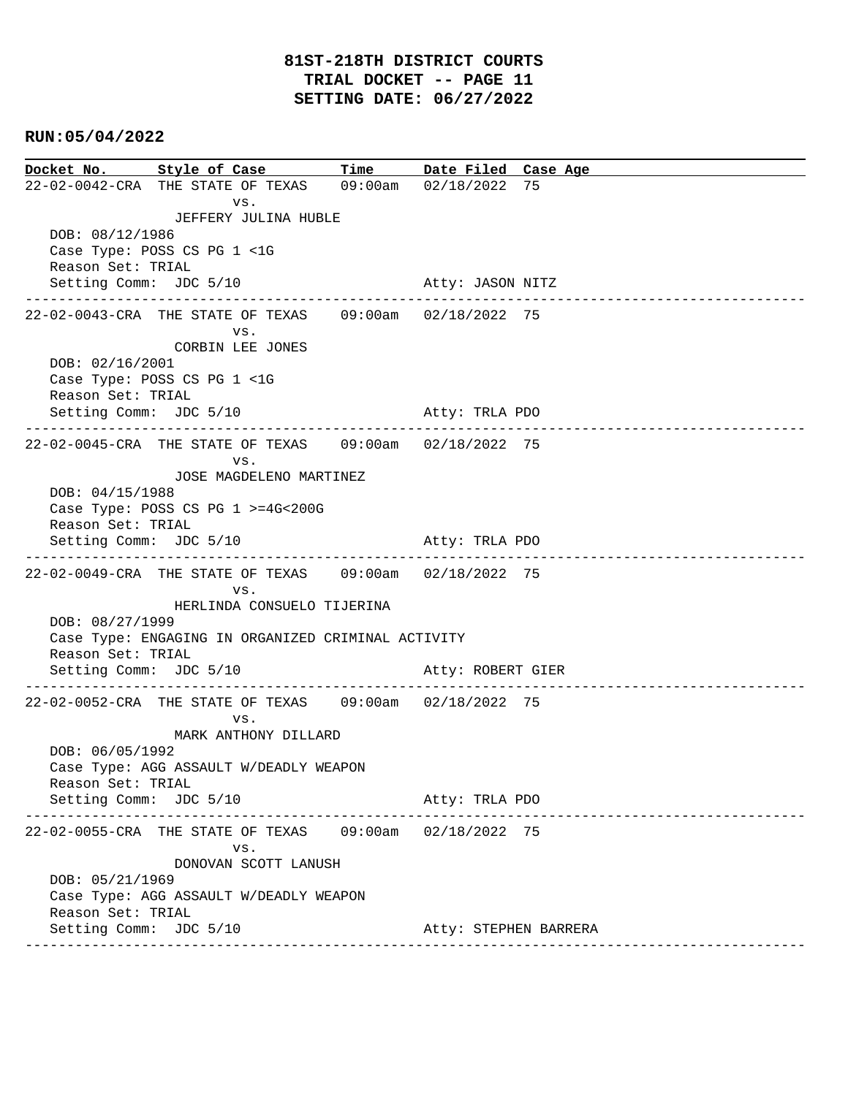**Docket No. Style of Case Time Date Filed Case Age**  22-02-0042-CRA THE STATE OF TEXAS 09:00am 02/18/2022 75 vs. JEFFERY JULINA HUBLE DOB: 08/12/1986 Case Type: POSS CS PG 1 <1G Reason Set: TRIAL Setting Comm: JDC 5/10 Atty: JASON NITZ ---------------------------------------------------------------------------------------------- 22-02-0043-CRA THE STATE OF TEXAS 09:00am 02/18/2022 75 vs. CORBIN LEE JONES DOB: 02/16/2001 Case Type: POSS CS PG 1 <1G Reason Set: TRIAL Setting Comm: JDC 5/10 Atty: TRLA PDO ---------------------------------------------------------------------------------------------- 22-02-0045-CRA THE STATE OF TEXAS 09:00am 02/18/2022 75 vs. JOSE MAGDELENO MARTINEZ DOB: 04/15/1988 Case Type: POSS CS PG 1 >=4G<200G Reason Set: TRIAL Setting Comm: JDC 5/10 Atty: TRLA PDO ---------------------------------------------------------------------------------------------- 22-02-0049-CRA THE STATE OF TEXAS 09:00am 02/18/2022 75 vs. HERLINDA CONSUELO TIJERINA DOB: 08/27/1999 Case Type: ENGAGING IN ORGANIZED CRIMINAL ACTIVITY Reason Set: TRIAL Setting Comm: JDC 5/10 Atty: ROBERT GIER ---------------------------------------------------------------------------------------------- 22-02-0052-CRA THE STATE OF TEXAS 09:00am 02/18/2022 75 vs. MARK ANTHONY DILLARD DOB: 06/05/1992 Case Type: AGG ASSAULT W/DEADLY WEAPON Reason Set: TRIAL Setting Comm: JDC 5/10 Atty: TRLA PDO ---------------------------------------------------------------------------------------------- 22-02-0055-CRA THE STATE OF TEXAS 09:00am 02/18/2022 75 vs. DONOVAN SCOTT LANUSH DOB: 05/21/1969 Case Type: AGG ASSAULT W/DEADLY WEAPON Reason Set: TRIAL Setting Comm: JDC 5/10 Atty: STEPHEN BARRERA ----------------------------------------------------------------------------------------------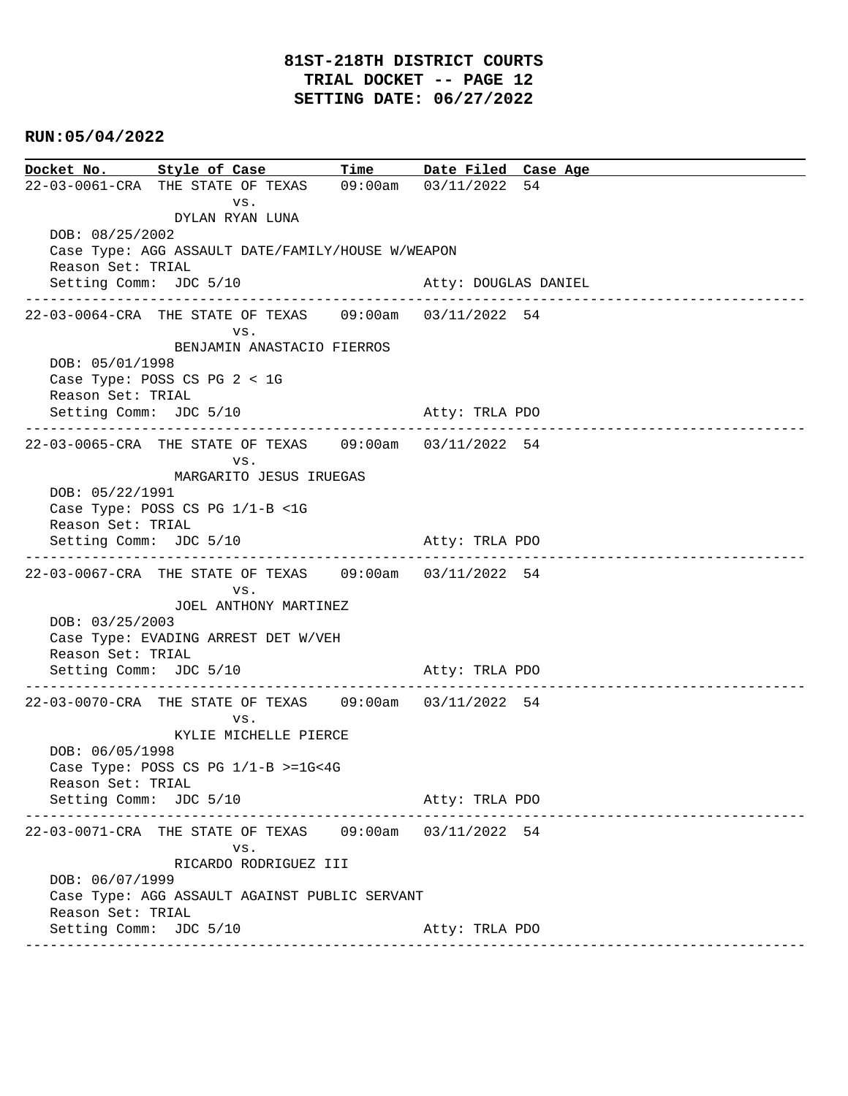**Docket No. Style of Case Time Date Filed Case Age**  22-03-0061-CRA THE STATE OF TEXAS 09:00am 03/11/2022 54 vs. DYLAN RYAN LUNA DOB: 08/25/2002 Case Type: AGG ASSAULT DATE/FAMILY/HOUSE W/WEAPON Reason Set: TRIAL Setting Comm: JDC 5/10 Atty: DOUGLAS DANIEL ---------------------------------------------------------------------------------------------- 22-03-0064-CRA THE STATE OF TEXAS 09:00am 03/11/2022 54 vs. BENJAMIN ANASTACIO FIERROS DOB: 05/01/1998 Case Type: POSS CS PG 2 < 1G Reason Set: TRIAL Setting Comm: JDC 5/10 Atty: TRLA PDO ---------------------------------------------------------------------------------------------- 22-03-0065-CRA THE STATE OF TEXAS 09:00am 03/11/2022 54 vs. MARGARITO JESUS IRUEGAS DOB: 05/22/1991 Case Type: POSS CS PG 1/1-B <1G Reason Set: TRIAL Setting Comm: JDC 5/10 Atty: TRLA PDO ---------------------------------------------------------------------------------------------- 22-03-0067-CRA THE STATE OF TEXAS 09:00am 03/11/2022 54 vs. JOEL ANTHONY MARTINEZ DOB: 03/25/2003 Case Type: EVADING ARREST DET W/VEH Reason Set: TRIAL Setting Comm: JDC 5/10 Atty: TRLA PDO ---------------------------------------------------------------------------------------------- 22-03-0070-CRA THE STATE OF TEXAS 09:00am 03/11/2022 54 vs. KYLIE MICHELLE PIERCE DOB: 06/05/1998 Case Type: POSS CS PG 1/1-B >=1G<4G Reason Set: TRIAL Setting Comm: JDC 5/10 Atty: TRLA PDO ---------------------------------------------------------------------------------------------- 22-03-0071-CRA THE STATE OF TEXAS 09:00am 03/11/2022 54 vs. RICARDO RODRIGUEZ III DOB: 06/07/1999 Case Type: AGG ASSAULT AGAINST PUBLIC SERVANT Reason Set: TRIAL Setting Comm: JDC 5/10 Atty: TRLA PDO ----------------------------------------------------------------------------------------------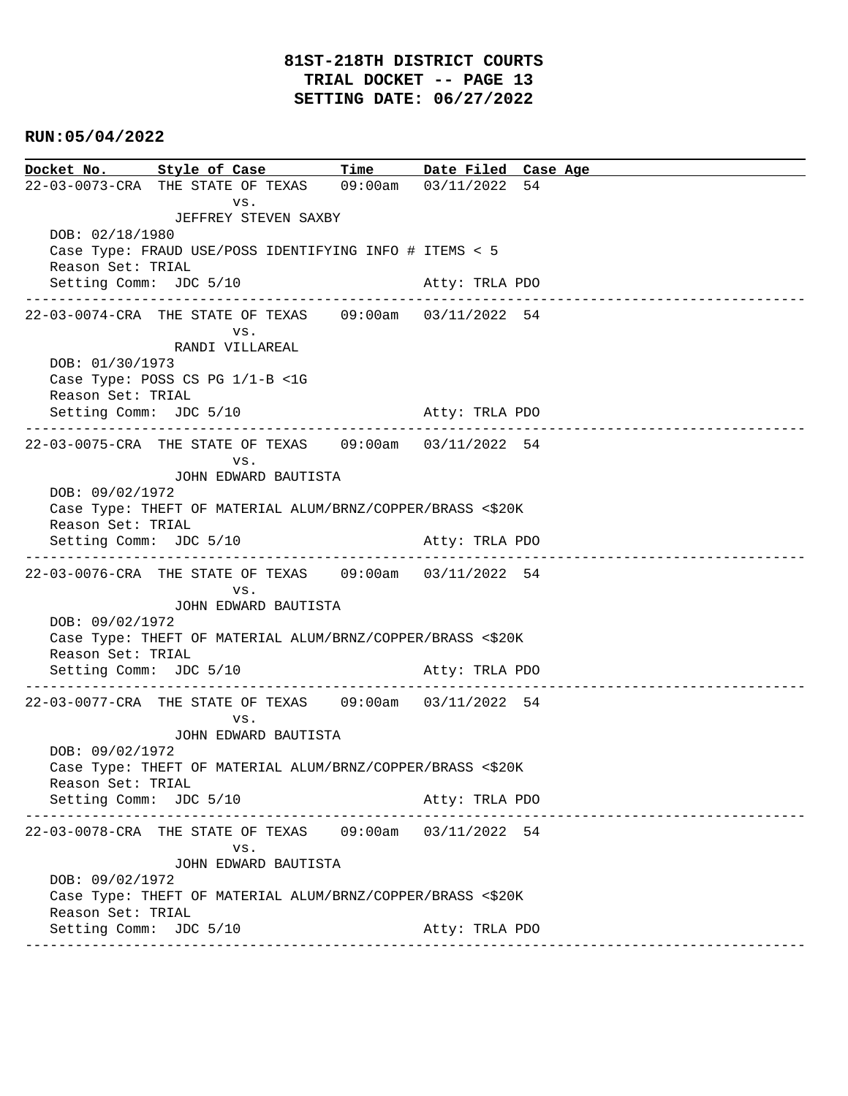**Docket No. Style of Case Time Date Filed Case Age**  22-03-0073-CRA THE STATE OF TEXAS 09:00am 03/11/2022 54 vs. JEFFREY STEVEN SAXBY DOB: 02/18/1980 Case Type: FRAUD USE/POSS IDENTIFYING INFO # ITEMS < 5 Reason Set: TRIAL Setting Comm: JDC 5/10 Atty: TRLA PDO ---------------------------------------------------------------------------------------------- 22-03-0074-CRA THE STATE OF TEXAS 09:00am 03/11/2022 54 vs. RANDI VILLAREAL DOB: 01/30/1973 Case Type: POSS CS PG 1/1-B <1G Reason Set: TRIAL Setting Comm: JDC 5/10 Atty: TRLA PDO ---------------------------------------------------------------------------------------------- 22-03-0075-CRA THE STATE OF TEXAS 09:00am 03/11/2022 54 vs. JOHN EDWARD BAUTISTA DOB: 09/02/1972 Case Type: THEFT OF MATERIAL ALUM/BRNZ/COPPER/BRASS <\$20K Reason Set: TRIAL Setting Comm: JDC 5/10 Atty: TRLA PDO ---------------------------------------------------------------------------------------------- 22-03-0076-CRA THE STATE OF TEXAS 09:00am 03/11/2022 54 vs. JOHN EDWARD BAUTISTA DOB: 09/02/1972 Case Type: THEFT OF MATERIAL ALUM/BRNZ/COPPER/BRASS <\$20K Reason Set: TRIAL Setting Comm: JDC 5/10 Atty: TRLA PDO ---------------------------------------------------------------------------------------------- 22-03-0077-CRA THE STATE OF TEXAS 09:00am 03/11/2022 54 vs. JOHN EDWARD BAUTISTA DOB: 09/02/1972 Case Type: THEFT OF MATERIAL ALUM/BRNZ/COPPER/BRASS <\$20K Reason Set: TRIAL Setting Comm: JDC 5/10 Atty: TRLA PDO ---------------------------------------------------------------------------------------------- 22-03-0078-CRA THE STATE OF TEXAS 09:00am 03/11/2022 54 vs. JOHN EDWARD BAUTISTA DOB: 09/02/1972 Case Type: THEFT OF MATERIAL ALUM/BRNZ/COPPER/BRASS <\$20K Reason Set: TRIAL Setting Comm: JDC 5/10 Atty: TRLA PDO ----------------------------------------------------------------------------------------------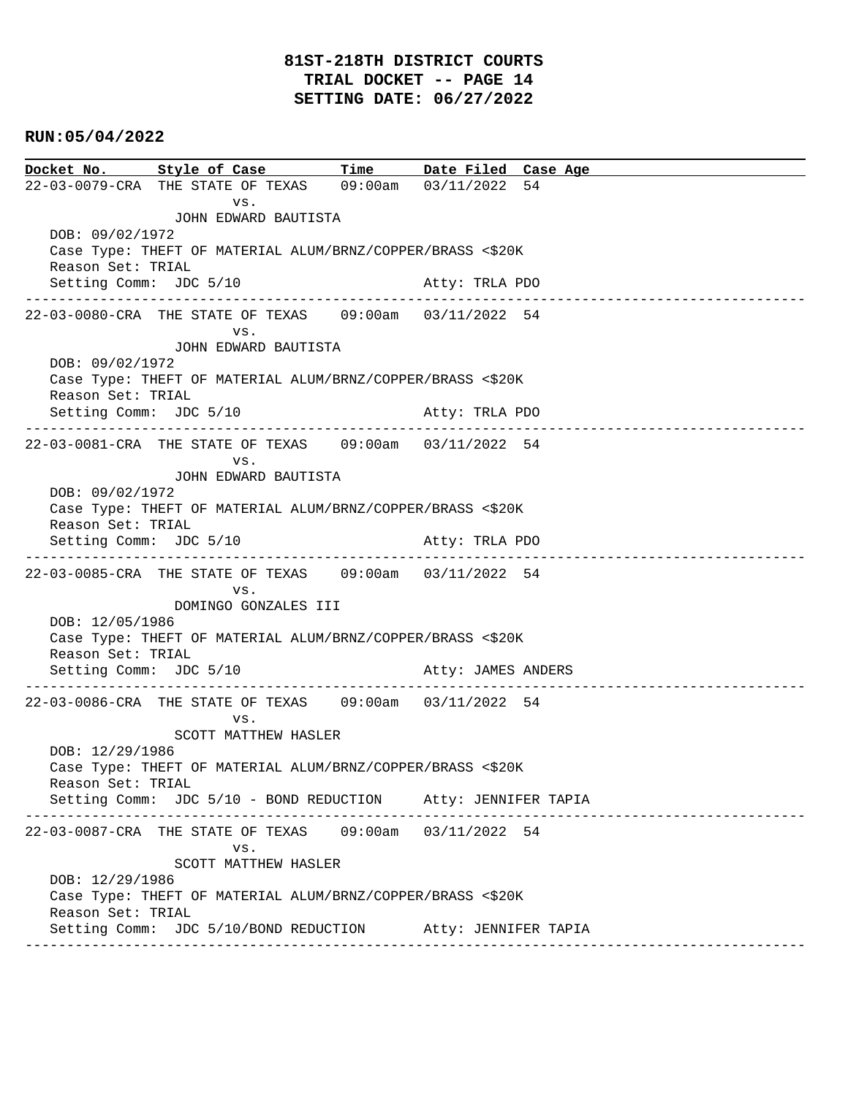|                                                                               | Docket No. Style of Case Time Date Filed Case Age                               |                      |                    |  |  |  |  |  |
|-------------------------------------------------------------------------------|---------------------------------------------------------------------------------|----------------------|--------------------|--|--|--|--|--|
|                                                                               | 22-03-0079-CRA THE STATE OF TEXAS 09:00am 03/11/2022 54                         |                      |                    |  |  |  |  |  |
|                                                                               | VS.                                                                             |                      |                    |  |  |  |  |  |
|                                                                               | JOHN EDWARD BAUTISTA                                                            |                      |                    |  |  |  |  |  |
|                                                                               | DOB: 09/02/1972                                                                 |                      |                    |  |  |  |  |  |
|                                                                               | Case Type: THEFT OF MATERIAL ALUM/BRNZ/COPPER/BRASS <\$20K<br>Reason Set: TRIAL |                      |                    |  |  |  |  |  |
| Setting Comm: JDC 5/10                                                        |                                                                                 |                      | Atty: TRLA PDO     |  |  |  |  |  |
|                                                                               |                                                                                 |                      |                    |  |  |  |  |  |
|                                                                               | VS.                                                                             |                      |                    |  |  |  |  |  |
|                                                                               | JOHN EDWARD BAUTISTA                                                            |                      |                    |  |  |  |  |  |
| DOB: 09/02/1972                                                               |                                                                                 |                      |                    |  |  |  |  |  |
| Case Type: THEFT OF MATERIAL ALUM/BRNZ/COPPER/BRASS <\$20K                    |                                                                                 |                      |                    |  |  |  |  |  |
| Reason Set: TRIAL<br>Setting Comm: JDC 5/10                                   |                                                                                 |                      | Atty: TRLA PDO     |  |  |  |  |  |
|                                                                               |                                                                                 |                      |                    |  |  |  |  |  |
|                                                                               | 22-03-0081-CRA THE STATE OF TEXAS 09:00am 03/11/2022 54                         |                      |                    |  |  |  |  |  |
|                                                                               | VS.                                                                             |                      |                    |  |  |  |  |  |
| DOB: 09/02/1972                                                               | JOHN EDWARD BAUTISTA                                                            |                      |                    |  |  |  |  |  |
|                                                                               | Case Type: THEFT OF MATERIAL ALUM/BRNZ/COPPER/BRASS <\$20K                      |                      |                    |  |  |  |  |  |
| Reason Set: TRIAL                                                             |                                                                                 |                      |                    |  |  |  |  |  |
| Setting Comm: JDC 5/10                                                        |                                                                                 |                      | Atty: TRLA PDO     |  |  |  |  |  |
|                                                                               |                                                                                 |                      |                    |  |  |  |  |  |
|                                                                               | 22-03-0085-CRA THE STATE OF TEXAS 09:00am 03/11/2022 54<br>VS.                  |                      |                    |  |  |  |  |  |
|                                                                               | DOMINGO GONZALES III                                                            |                      |                    |  |  |  |  |  |
| DOB: 12/05/1986                                                               |                                                                                 |                      |                    |  |  |  |  |  |
|                                                                               | Case Type: THEFT OF MATERIAL ALUM/BRNZ/COPPER/BRASS <\$20K                      |                      |                    |  |  |  |  |  |
| Reason Set: TRIAL                                                             | Setting Comm: JDC 5/10                                                          |                      | Atty: JAMES ANDERS |  |  |  |  |  |
|                                                                               | -------------------------------------                                           |                      |                    |  |  |  |  |  |
|                                                                               | 22-03-0086-CRA THE STATE OF TEXAS 09:00am 03/11/2022 54                         |                      |                    |  |  |  |  |  |
|                                                                               | VS.                                                                             |                      |                    |  |  |  |  |  |
|                                                                               | SCOTT MATTHEW HASLER                                                            |                      |                    |  |  |  |  |  |
| DOB: 12/29/1986<br>Case Type: THEFT OF MATERIAL ALUM/BRNZ/COPPER/BRASS <\$20K |                                                                                 |                      |                    |  |  |  |  |  |
| Reason Set: TRIAL                                                             |                                                                                 |                      |                    |  |  |  |  |  |
|                                                                               | Setting Comm: JDC 5/10 - BOND REDUCTION Atty: JENNIFER TAPIA                    |                      |                    |  |  |  |  |  |
|                                                                               |                                                                                 |                      |                    |  |  |  |  |  |
|                                                                               | VS.                                                                             |                      |                    |  |  |  |  |  |
|                                                                               | SCOTT MATTHEW HASLER                                                            |                      |                    |  |  |  |  |  |
| DOB: 12/29/1986                                                               |                                                                                 |                      |                    |  |  |  |  |  |
| Case Type: THEFT OF MATERIAL ALUM/BRNZ/COPPER/BRASS <\$20K                    |                                                                                 |                      |                    |  |  |  |  |  |
| Reason Set: TRIAL                                                             |                                                                                 |                      |                    |  |  |  |  |  |
|                                                                               | Setting Comm: JDC 5/10/BOND REDUCTION Atty: JENNIFER TAPIA                      | ____________________ |                    |  |  |  |  |  |
|                                                                               |                                                                                 |                      |                    |  |  |  |  |  |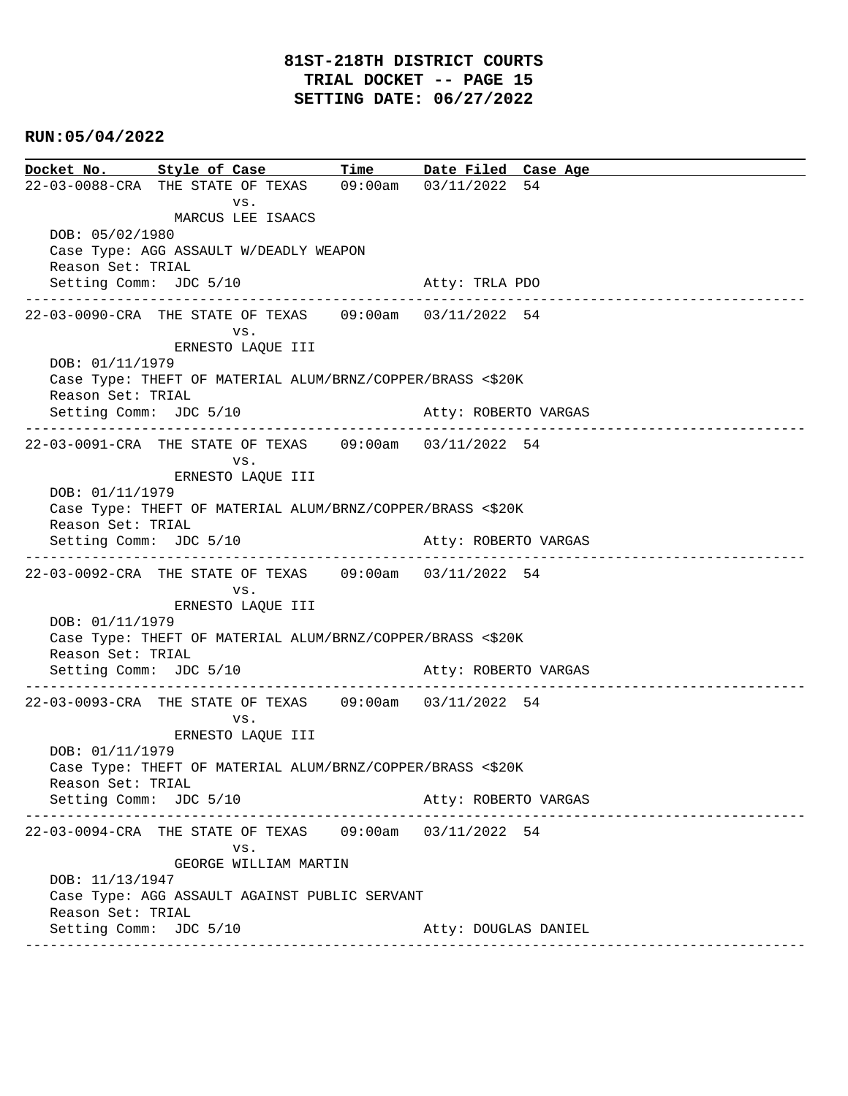**Docket No. Style of Case Time Date Filed Case Age**  22-03-0088-CRA THE STATE OF TEXAS 09:00am 03/11/2022 54 vs. MARCUS LEE ISAACS DOB: 05/02/1980 Case Type: AGG ASSAULT W/DEADLY WEAPON Reason Set: TRIAL Setting Comm: JDC 5/10 Atty: TRLA PDO ---------------------------------------------------------------------------------------------- 22-03-0090-CRA THE STATE OF TEXAS 09:00am 03/11/2022 54 vs. ERNESTO LAQUE III DOB: 01/11/1979 Case Type: THEFT OF MATERIAL ALUM/BRNZ/COPPER/BRASS <\$20K Reason Set: TRIAL Setting Comm: JDC 5/10 Atty: ROBERTO VARGAS ---------------------------------------------------------------------------------------------- 22-03-0091-CRA THE STATE OF TEXAS 09:00am 03/11/2022 54 vs. ERNESTO LAQUE III DOB: 01/11/1979 Case Type: THEFT OF MATERIAL ALUM/BRNZ/COPPER/BRASS <\$20K Reason Set: TRIAL Setting Comm: JDC 5/10 Atty: ROBERTO VARGAS ---------------------------------------------------------------------------------------------- 22-03-0092-CRA THE STATE OF TEXAS 09:00am 03/11/2022 54 vs. ERNESTO LAQUE III DOB: 01/11/1979 Case Type: THEFT OF MATERIAL ALUM/BRNZ/COPPER/BRASS <\$20K Reason Set: TRIAL Setting Comm: JDC 5/10 Atty: ROBERTO VARGAS ---------------------------------------------------------------------------------------------- 22-03-0093-CRA THE STATE OF TEXAS 09:00am 03/11/2022 54 vs. ERNESTO LAQUE III DOB: 01/11/1979 Case Type: THEFT OF MATERIAL ALUM/BRNZ/COPPER/BRASS <\$20K Reason Set: TRIAL Setting Comm: JDC 5/10 Atty: ROBERTO VARGAS ---------------------------------------------------------------------------------------------- 22-03-0094-CRA THE STATE OF TEXAS 09:00am 03/11/2022 54 vs. GEORGE WILLIAM MARTIN DOB: 11/13/1947 Case Type: AGG ASSAULT AGAINST PUBLIC SERVANT Reason Set: TRIAL Setting Comm: JDC 5/10 Atty: DOUGLAS DANIEL ----------------------------------------------------------------------------------------------